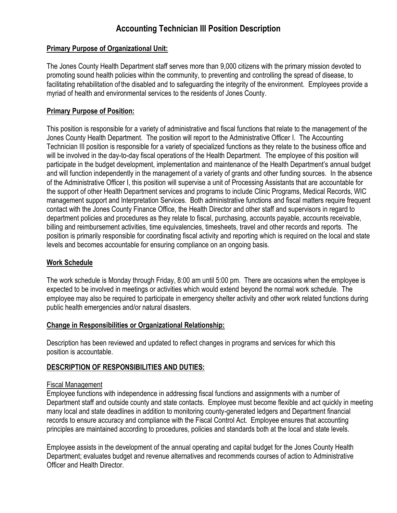# **Accounting Technician III Position Description**

## **Primary Purpose of Organizational Unit:**

The Jones County Health Department staff serves more than 9,000 citizens with the primary mission devoted to promoting sound health policies within the community, to preventing and controlling the spread of disease, to facilitating rehabilitation of the disabled and to safeguarding the integrity of the environment. Employees provide a myriad of health and environmental services to the residents of Jones County.

## **Primary Purpose of Position:**

This position is responsible for a variety of administrative and fiscal functions that relate to the management of the Jones County Health Department. The position will report to the Administrative Officer I. The Accounting Technician III position is responsible for a variety of specialized functions as they relate to the business office and will be involved in the day-to-day fiscal operations of the Health Department. The employee of this position will participate in the budget development, implementation and maintenance of the Health Department's annual budget and will function independently in the management of a variety of grants and other funding sources. In the absence of the Administrative Officer I, this position will supervise a unit of Processing Assistants that are accountable for the support of other Health Department services and programs to include Clinic Programs, Medical Records, WIC management support and Interpretation Services. Both administrative functions and fiscal matters require frequent contact with the Jones County Finance Office, the Health Director and other staff and supervisors in regard to department policies and procedures as they relate to fiscal, purchasing, accounts payable, accounts receivable, billing and reimbursement activities, time equivalencies, timesheets, travel and other records and reports. The position is primarily responsible for coordinating fiscal activity and reporting which is required on the local and state levels and becomes accountable for ensuring compliance on an ongoing basis.

## **Work Schedule**

The work schedule is Monday through Friday, 8:00 am until 5:00 pm. There are occasions when the employee is expected to be involved in meetings or activities which would extend beyond the normal work schedule. The employee may also be required to participate in emergency shelter activity and other work related functions during public health emergencies and/or natural disasters.

## **Change in Responsibilities or Organizational Relationship:**

Description has been reviewed and updated to reflect changes in programs and services for which this position is accountable.

# **DESCRIPTION OF RESPONSIBILITIES AND DUTIES:**

## Fiscal Management

Employee functions with independence in addressing fiscal functions and assignments with a number of Department staff and outside county and state contacts. Employee must become flexible and act quickly in meeting many local and state deadlines in addition to monitoring county-generated ledgers and Department financial records to ensure accuracy and compliance with the Fiscal Control Act. Employee ensures that accounting principles are maintained according to procedures, policies and standards both at the local and state levels.

Employee assists in the development of the annual operating and capital budget for the Jones County Health Department; evaluates budget and revenue alternatives and recommends courses of action to Administrative Officer and Health Director.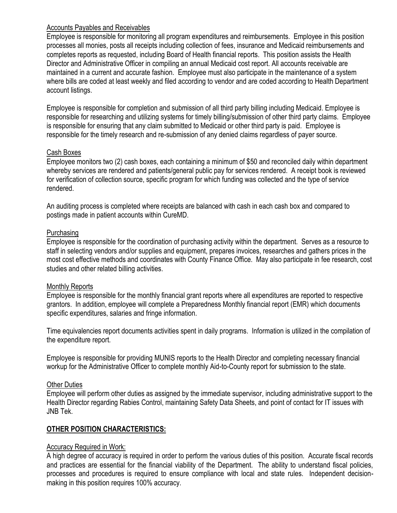## Accounts Payables and Receivables

Employee is responsible for monitoring all program expenditures and reimbursements. Employee in this position processes all monies, posts all receipts including collection of fees, insurance and Medicaid reimbursements and completes reports as requested, including Board of Health financial reports. This position assists the Health Director and Administrative Officer in compiling an annual Medicaid cost report. All accounts receivable are maintained in a current and accurate fashion. Employee must also participate in the maintenance of a system where bills are coded at least weekly and filed according to vendor and are coded according to Health Department account listings.

Employee is responsible for completion and submission of all third party billing including Medicaid. Employee is responsible for researching and utilizing systems for timely billing/submission of other third party claims. Employee is responsible for ensuring that any claim submitted to Medicaid or other third party is paid. Employee is responsible for the timely research and re-submission of any denied claims regardless of payer source.

## Cash Boxes

Employee monitors two (2) cash boxes, each containing a minimum of \$50 and reconciled daily within department whereby services are rendered and patients/general public pay for services rendered. A receipt book is reviewed for verification of collection source, specific program for which funding was collected and the type of service rendered.

An auditing process is completed where receipts are balanced with cash in each cash box and compared to postings made in patient accounts within CureMD.

## Purchasing

Employee is responsible for the coordination of purchasing activity within the department. Serves as a resource to staff in selecting vendors and/or supplies and equipment, prepares invoices, researches and gathers prices in the most cost effective methods and coordinates with County Finance Office. May also participate in fee research, cost studies and other related billing activities.

## Monthly Reports

Employee is responsible for the monthly financial grant reports where all expenditures are reported to respective grantors. In addition, employee will complete a Preparedness Monthly financial report (EMR) which documents specific expenditures, salaries and fringe information.

Time equivalencies report documents activities spent in daily programs. Information is utilized in the compilation of the expenditure report.

Employee is responsible for providing MUNIS reports to the Health Director and completing necessary financial workup for the Administrative Officer to complete monthly Aid-to-County report for submission to the state.

# Other Duties

Employee will perform other duties as assigned by the immediate supervisor, including administrative support to the Health Director regarding Rabies Control, maintaining Safety Data Sheets, and point of contact for IT issues with JNB Tek.

# **OTHER POSITION CHARACTERISTICS:**

## **Accuracy Required in Work:**

A high degree of accuracy is required in order to perform the various duties of this position. Accurate fiscal records and practices are essential for the financial viability of the Department. The ability to understand fiscal policies, processes and procedures is required to ensure compliance with local and state rules. Independent decisionmaking in this position requires 100% accuracy.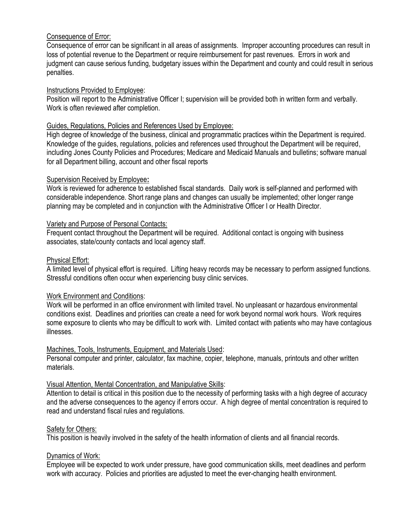## Consequence of Error:

Consequence of error can be significant in all areas of assignments. Improper accounting procedures can result in loss of potential revenue to the Department or require reimbursement for past revenues. Errors in work and judgment can cause serious funding, budgetary issues within the Department and county and could result in serious penalties.

## Instructions Provided to Employee:

Position will report to the Administrative Officer I; supervision will be provided both in written form and verbally. Work is often reviewed after completion.

## Guides, Regulations, Policies and References Used by Employee:

High degree of knowledge of the business, clinical and programmatic practices within the Department is required. Knowledge of the guides, regulations, policies and references used throughout the Department will be required, including Jones County Policies and Procedures; Medicare and Medicaid Manuals and bulletins; software manual for all Department billing, account and other fiscal reports

## Supervision Received by Employee**:**

Work is reviewed for adherence to established fiscal standards. Daily work is self-planned and performed with considerable independence. Short range plans and changes can usually be implemented; other longer range planning may be completed and in conjunction with the Administrative Officer I or Health Director.

## Variety and Purpose of Personal Contacts:

Frequent contact throughout the Department will be required. Additional contact is ongoing with business associates, state/county contacts and local agency staff.

## Physical Effort:

A limited level of physical effort is required. Lifting heavy records may be necessary to perform assigned functions. Stressful conditions often occur when experiencing busy clinic services.

# Work Environment and Conditions:

Work will be performed in an office environment with limited travel. No unpleasant or hazardous environmental conditions exist. Deadlines and priorities can create a need for work beyond normal work hours. Work requires some exposure to clients who may be difficult to work with. Limited contact with patients who may have contagious illnesses.

## Machines, Tools, Instruments, Equipment, and Materials Used:

Personal computer and printer, calculator, fax machine, copier, telephone, manuals, printouts and other written materials.

## Visual Attention, Mental Concentration, and Manipulative Skills:

Attention to detail is critical in this position due to the necessity of performing tasks with a high degree of accuracy and the adverse consequences to the agency if errors occur. A high degree of mental concentration is required to read and understand fiscal rules and regulations.

## Safety for Others:

This position is heavily involved in the safety of the health information of clients and all financial records.

## Dynamics of Work:

Employee will be expected to work under pressure, have good communication skills, meet deadlines and perform work with accuracy. Policies and priorities are adjusted to meet the ever-changing health environment.